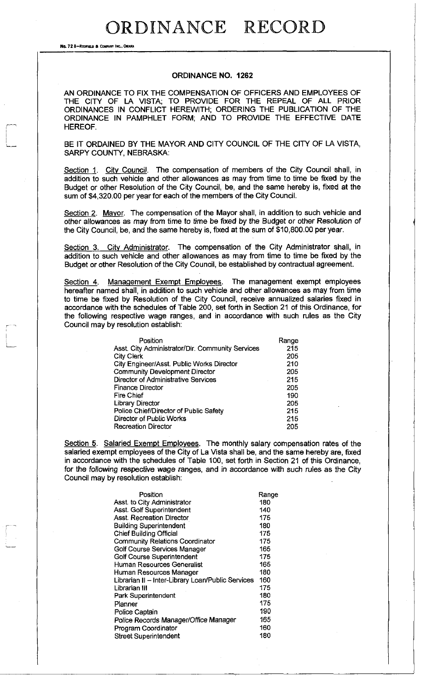No. 72 8-REOFIELD & COMPANY INC., OMAHA

#### **ORDINANCE NO. 1262**

AN ORDINANCE TO FIX THE COMPENSATION OF OFFICERS AND EMPLOYEES OF THE CITY OF LA VISTA; TO PROVIDE FOR THE REPEAL OF ALL PRIOR ORDINANCES IN CONFLICT HEREWITH; ORDERING THE PUBLICATION OF THE ORDINANCE IN PAMPHLET FORM; AND TO PROVIDE THE EFFECTIVE DATE HEREOF.

BE IT ORDAINED BY THE MAYOR AND CITY COUNCIL OF THE CITY OF LA VISTA, SARPY COUNTY, NEBRASKA:

Section 1. City Council. The compensation of members of the City Council shall, in addition to such vehicle and other allowances as may from time to time be fixed by the Budget or other Resolution of the City Council, be, and the same hereby is, fixed at the sum of \$4,320.00 per year for each of the members of the City Council.

Section 2. Mayor. The compensation of the Mayor shall, in addition to such vehicle and other allowances as may from time to time be fixed *by* the Budget or other Resolution of the City Council, be, and the same hereby is, fixed at the sum of \$10,800.00 per year.

Section 3. City Administrator. The compensation of the City Administrator shall, in addition to such vehicle and other allowances as may from time to time be fixed by the Budget or other Resolution of the City Council, be established by contractual agreement.

Section 4. Management Exempt Employees. The management exempt employees hereafter named shall, in addition to such vehicle and other allowances as may from time to time be fixed by Resolution of the City Council, receive annualized salaries fixed in accordance with the schedules of Table 200, set forth in Section 21 of this Ordinance, for the following respective wage ranges, and in accordance with such rules as the City Council may by resolution establish:

| Position                                         | Range |
|--------------------------------------------------|-------|
| Asst. City Administrator/Dir. Community Services | 215   |
| <b>City Clerk</b>                                | 205   |
| City Engineer/Asst. Public Works Director        | 210   |
| <b>Community Development Director</b>            | 205   |
| Director of Administrative Services              | 215   |
| <b>Finance Director</b>                          | 205   |
| <b>Fire Chief</b>                                | 190   |
| <b>Library Director</b>                          | 205   |
| Police Chief/Director of Public Safety           | 215   |
| Director of Public Works                         | 215   |
| <b>Recreation Director</b>                       | 205   |

Section 5. Salaried Exempt Employees. The monthly salary compensation rates of the salaried exempt employees of the City of La Vista shall be, and the same hereby are, fixed in accordance with the schedules of Table 100, set forth in Section 21 of this Ordinance, for the following respective wage ranges, and in accordance with such rules as the City Council may by resolution establish:

| Position                                          | Range |
|---------------------------------------------------|-------|
| Asst. to City Administrator                       | 180   |
| Asst. Golf Superintendent                         | 140   |
| <b>Asst. Recreation Director</b>                  | 175   |
| <b>Building Superintendent</b>                    | 180   |
| <b>Chief Building Official</b>                    | 175   |
| <b>Community Relations Coordinator</b>            | 175   |
| Golf Course Services Manager                      | 165   |
| Golf Course Superintendent                        | 175   |
| Human Resources Generalist                        | 165   |
| Human Resources Manager                           | 180   |
| Librarian II - Inter-Library Loan/Public Services | 160   |
| Librarian III                                     | 175   |
| Park Superintendent                               | 180   |
| Planner                                           | 175   |
| Police Captain                                    | 190   |
| Police Records Manager/Office Manager             | 165   |
| Program Coordinator                               | 160   |
| <b>Street Superintendent</b>                      | 180   |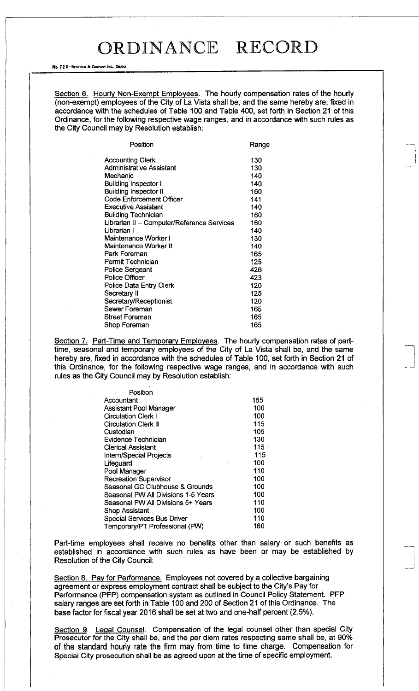#### No. 728-REDFIELD & COMPANY INC., OMAHA

Section 6. Hourly Non-Exempt Employees. The hourly compensation rates of the hourly (non-exempt) employees of the City of La Vista shall be, and the same hereby are, fixed in accordance with the schedules of Table 100 and Table 400, set forth in Section 21 of this Ordinance, for the following respective wage ranges, and in accordance with such rules as the City Council may by Resolution establish:

.—J

| Position                                   | Range |
|--------------------------------------------|-------|
| <b>Accounting Clerk</b>                    | 130   |
| Administrative Assistant                   | 130   |
| Mechanic                                   | 140   |
| Building Inspector I                       | 140   |
| <b>Building Inspector II</b>               | 160   |
| <b>Code Enforcement Officer</b>            | 141   |
| Executive Assistant                        | 140   |
| <b>Building Technician</b>                 | 160   |
| Librarian II - Computer/Reference Services | 160   |
| Librarian I                                | 140   |
| Maintenance Worker I                       | 130   |
| Maintenance Worker II                      | 140   |
| Park Foreman                               | 165   |
| Permit Technician                          | 125   |
| <b>Police Sergeant</b>                     | 426   |
| <b>Police Officer</b>                      | 423   |
| Police Data Entry Clerk                    | 120   |
| Secretary II                               | 125   |
| Secretary/Receptionist                     | 120   |
| Sewer Foreman                              | 165   |
| Street Foreman                             | 165   |
| Shop Foreman                               | 165   |
|                                            |       |

Section 7. Part-Time and Temporary Employees. The hourly compensation rates of parttime, seasonal and temporary employees of the City of La Vista shall be, and the same hereby are, fixed in accordance with the schedules of Table 100, set forth in Section 21 of this Ordinance, for the following respective wage ranges, and in accordance with such rules as the City Council may by Resolution establish:

| Position                            |     |
|-------------------------------------|-----|
| Accountant                          | 165 |
| Assistant Pool Manager              | 100 |
| <b>Circulation Clerk I</b>          | 100 |
| <b>Circulation Clerk II</b>         | 115 |
| Custodian                           | 105 |
| Evidence Technician                 | 130 |
| <b>Clerical Assistant</b>           | 115 |
| Intern/Special Projects             | 115 |
| Lifeguard                           | 100 |
| Pool Manager                        | 110 |
| Recreation Supervisor               | 100 |
| Seasonal GC Clubhouse & Grounds     | 100 |
| Seasonal PW All Divisions 1-5 Years | 100 |
| Seasonal PW All Divisions 5+ Years  | 110 |
| Shop Assistant                      | 100 |
| Special Services Bus Driver         | 110 |
| Temporary/PT Professional (PW)      | 160 |

Part-time employees shall receive no benefits other than salary or such benefits as established in accordance with such rules as have been or may be established by Resolution of the City Council:

Section 8. Pay for Performance. Employees not covered by a collective bargaining agreement or express employment contract shall be subject to the City's Pay for Performance (PFP) compensation system as outlined in Council Policy Statement. PFP salary ranges are set forth in Table 100 and 200 of Section 21 of this Ordinance. The base factor for fiscal year 2016 shall be set at two and one-half percent (2.5%).

Section 9. Legal Counsel. Compensation of the legal counsel other than special City Prosecutor for the City shall be, and the per diem rates respecting same shall be, at 90% of the standard hourly rate the firm may from time to time charge. Compensation for Special City prosecution shall be as agreed upon at the time of specific employment.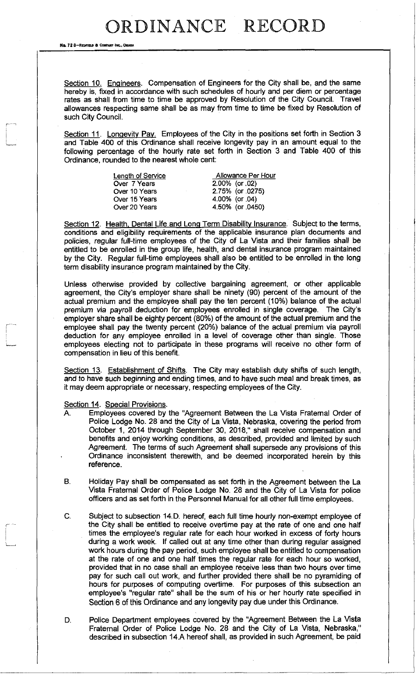No. 72 8-REDFIELD & COMPANY INC.

Section 10. Engineers. Compensation of Engineers for the City shall be, and the same hereby is, fixed in accordance with such schedules of hourly and per diem or percentage rates as shall from time to time be approved by Resolution of the City Council. Travel allowances respecting same shall be as may from time to time be fixed by Resolution of such City Council.

Section 11. Longevity Pay. Employees of the City in the positions set forth in Section 3 and Table 400 of this Ordinance shall receive longevity pay in an amount equal to the following percentage of the hourly rate set forth in Section 3 and Table 400 of this Ordinance, rounded to the nearest whole cent:

| Length of Service | Allowance Per Hour |
|-------------------|--------------------|
| Over 7 Years      | $2.00\%$ (or .02)  |
| Over 10 Years     | 2.75% (or 0275)    |
| Over 15 Years     | 4.00% (or 04)      |
| Over 20 Years     | 4.50% (or 0450)    |
|                   |                    |

Section 12. Health, Dental Life and Long Term Disability Insurance. Subject to the terms, conditions and eligibility requirements of the applicable insurance plan documents and policies, regular full-time employees of the City of La Vista and their families shall be entitled to be enrolled in the group life, health, and dental insurance program maintained by the City. Regular full-time employees shall also be entitled to be enrolled in the long term disability insurance program maintained by the City.

Unless otherwise provided by collective bargaining agreement, or other applicable agreement, the City's employer share shall be ninety (90) percent of the amount of the actual premium and the employee shall pay the ten percent (10%) balance of the actual premium via payroll deduction for employees enrolled in single coverage. The City's employer share shall be eighty percent (80%) of the amount of the actual premium and the employee shall pay the twenty percent (20%) balance of the actual premium via payroll deduction for any employee enrolled in a level of coverage other than single. Those employees electing not to participate in these programs will receive no other form of compensation in lieu of this benefit.

Section 13. Establishment of Shifts. The City may establish duty shifts of such length, and to have such beginning and ending times, and to have such meal and break times, as it may deem appropriate or necessary, respecting employees of the City.

Section 14. Special Provisions.

- A. Employees covered by the "Agreement Between the La Vista Fraternal Order of Police Lodge No. 28 and the City of La Vista, Nebraska, covering the period from October 1, 2014 through September 30, 2018," shall receive compensation and benefits and enjoy working conditions, as described, provided and limited by such Agreement. The terms of such Agreement shall supersede any provisions of this Ordinance inconsistent therewith, and be deemed incorporated herein by this reference.
- B. Holiday Pay shall be compensated as set forth in the Agreement between the La Vista Fraternal Order of Police Lodge No. 28 and the City of La Vista for police officers and as set forth in the Personnel Manual for all other full time employees.
- C. Subject to subsection 14.D. hereof, each full time hourly non-exempt employee of the City shall be entitled to receive overtime pay at the rate of one and one half times the employee's regular rate for each hour worked in excess of forty hours during a work week. If called out at any time other than during regular assigned work hours during the pay period, such employee shall be entitled to compensation at the rate of one and one half times the regular rate for each hour so worked, provided that in no case shall an employee receive less than two hours over time pay for such call out work, and further provided there shall be no pyramiding of hours for purposes of computing overtime. For purposes of this subsection an employee's "regular rate" shall be the sum of his or her hourly rate specified in Section 6 of this Ordinance and any longevity pay due under this Ordinance.
- D. Police Department employees covered by the "Agreement Between the La Vista Fraternal Order of Police Lodge No. 28 and the City of La Vista, Nebraska," described in subsection 14.A hereof shall, as provided in such Agreement, be paid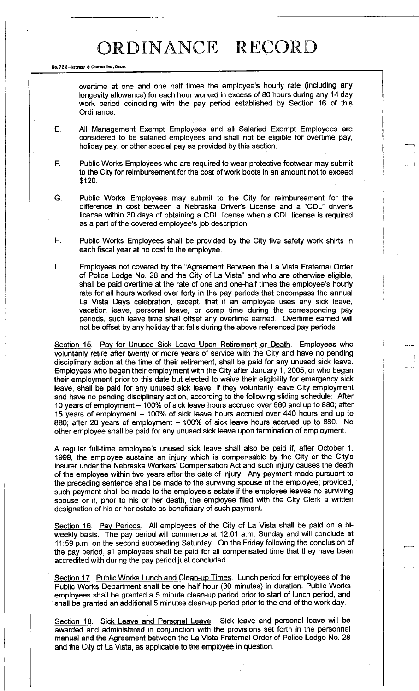No. 72 8-REDFIELD & COMPANY INC., OMAHA

overtime at one and one half times the employee's hourly rate (including any longevity allowance) for each hour worked in excess of 80 hours during any 14 day work period coinciding with the pay period established by Section 16 of this Ordinance.

- E. All Management Exempt Employees and all Salaried Exempt Employees are considered to be salaried employees and shall not be eligible for overtime pay, holiday pay, or other special pay as provided by this section.
- F. Public Works Employees who are required to wear protective footwear may submit to the City for reimbursement for the cost of work boots in an amount not to exceed \$120.
- G. Public Works Employees may submit to the City for reimbursement for the difference in cost between a Nebraska Driver's License and a "CDL" driver's license within 30 days of obtaining a CDL license when a CDL license is required as a part of the covered employee's job description.
- H. Public Works Employees shall be provided by the City five safety work shirts in each fiscal year at no cost to the employee.
- I. Employees not covered by the "Agreement Between the La Vista Fraternal Order of Police Lodge No. 28 and the City of La Vista" and who are otherwise eligible, shall be paid overtime at the rate of one and one-half times the employee's hourly rate for all hours worked over forty in the pay periods that encompass the annual La Vista Days celebration, except, that if an employee uses any sick leave, vacation leave, personal leave, or comp time during the corresponding pay periods, such leave time shall offset any overtime earned. Overtime earned will not be offset by any holiday that falls during the above referenced pay periods.

Section 15. Pay for Unused Sick Leave Upon Retirement or Death. Employees who voluntarily retire after twenty or more years of service with the City and have no pending disciplinary action at the time of their retirement, shall be paid for any unused sick leave. Employees who began their employment with the City after January 1, 2005, or who began their employment prior to this date but elected to waive their eligibility for emergency sick leave, shall be paid for any unused sick leave, if they voluntarily leave City employment and have no pending disciplinary action, according to the following sliding schedule: After 10 years of employment – 100% of sick leave hours accrued over 660 and up to 880; after 15 years of employment – 100% of sick leave hours accrued over 440 hours and up to 880; after 20 years of employment - 100% of sick leave hours accrued up to 880. No other employee shall be paid for any unused sick leave upon termination of employment.

A regular full-time employee's unused sick leave shall also be paid if, after October 1, 1999, the employee sustains an injury which is compensable by the City or the City's insurer under the Nebraska Workers' Compensation Act and such injury causes the death of the employee within two years after the date of injury. Any payment made pursuant to the preceding sentence shall be made to the surviving spouse of the employee; provided, such payment shall be made to the employee's estate if the employee leaves no surviving spouse or if, prior to his or her death, the employee filed with the City Clerk a written designation of his or her estate as beneficiary of such payment.

Section 16. Pay Periods. All employees of the City of La Vista shall be paid on a biweekly basis. The pay period will commence at 12:01 a.m. Sunday and will conclude at 11:59 p.m. on the second succeeding Saturday. On the Friday following the conclusion of the pay period, all employees shall be paid for all compensated time that they have been accredited with during the pay period just concluded.

Section 17. Public Works Lunch and Clean-up Times. Lunch period for employees of the Public Works Department shall be one half hour (30 minutes) in duration. Public Works employees shall be granted a 5 minute clean-up period prior to start of lunch period, and shall be granted an additional 5 minutes clean-up period prior to the end of the work day.

Section 18. Sick Leave and Personal Leave. Sick leave and personal leave will be awarded and administered in conjunction with the provisions set forth in the personnel manual and the Agreement between the La Vista Fraternal Order of Police Lodge No. 28 and the City of La Vista, as applicable to the employee in question.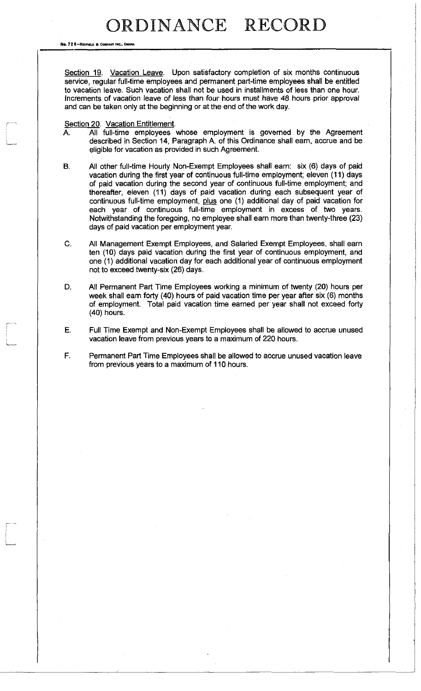No. 72 8-REDFIELD & COMPANY INC., O

Section 19. Vacation Leave. Upon satisfactory completion of six months continuous service, regular full-time employees and permanent part-time employees shall be entitled to vacation leave. Such vacation shall not be used in installments of less than one hour. Increments of vacation leave of less than four hours must have 48 hours prior approval and can be taken only at the beginning or at the end of the work day.

#### Section 20. Vacation Entitlement.

- A. All full-time employees whose employment is governed by the Agreement described in Section 14, Paragraph A. of this Ordinance shall earn, accrue and be eligible for vacation as provided in such Agreement.
- B. All other full-time Hourly Non-Exempt Employees shall earn: six (6) days of paid vacation during the first year of continuous full-time employment; eleven (11) days of paid vacation during the second year of continuous full-time employment; and thereafter, eleven (11) days of paid vacation during each subsequent year of continuous full-time employment, plus one (1) additional day of paid vacation for each year of continuous full-time employment in excess of two years. Notwithstanding the foregoing, no employee shall earn more than twenty-three (23) days of paid vacation per employment year.
- C. All Management Exempt Employees, and Salaried Exempt Employees, shall earn ten (10) days paid vacation during the first year of continuous employment, and one (1) additional vacation day for each additional year of continuous employment not to exceed twenty-six (26) days.
- D. All Permanent Part Time Employees working a minimum of twenty (20) hours per week shall earn forty (40) hours of paid vacation time per year after six (6) months of employment. Total paid vacation time earned per year shall not exceed forty (40) hours.
- E. Full Time Exempt and Non-Exempt Employees shall be allowed to accrue unused vacation leave from previous years to a maximum of 220 hours.
- F. Permanent Part Time Employees shall be allowed to accrue unused vacation leave from previous years to a maximum of 110 hours.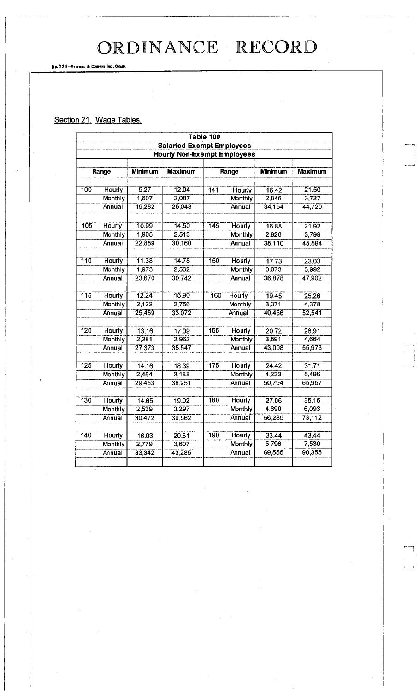No. 72 B-REOFIELD a COMPANY INC., OMAHA

### Section 21. Wage Tables.

|     |                |                |                                    | Table 100        |                |                |                |
|-----|----------------|----------------|------------------------------------|------------------|----------------|----------------|----------------|
|     |                |                | <b>Salaried Exempt Employees</b>   |                  |                |                |                |
|     |                |                | <b>Hourly Non-Exempt Employees</b> |                  |                |                |                |
|     |                |                |                                    |                  |                |                |                |
|     | Range          | <b>Minimum</b> | <b>Maximum</b>                     | Range            |                | <b>Minimum</b> | <b>Maximum</b> |
|     |                |                |                                    |                  |                |                |                |
| 100 | Hourly         | 9.27           | 12.04                              | 141              | Hourly         | 16.42          | 21.50          |
|     | <b>Monthly</b> | 1,607          | 2,087                              |                  | <b>Monthly</b> | 2,846          | 3,727          |
|     | Annual         | 19,282         | 25,043                             |                  | Annual         | 34,154         | 44,720         |
|     |                | 10.99          |                                    |                  |                |                |                |
| 105 | Hourly         |                | 14.50                              | $\overline{145}$ | Hourly         | 16.88          | 21.92          |
|     | <b>Monthly</b> | 1,905          | 2,513                              |                  | <b>Monthly</b> | 2,926          | 3,799          |
|     | Annual         | 22.859         | 30,160                             |                  | Annual         | 35,110         | 45,594         |
| 110 | Hourly         | 11.38          | 14.78                              | 150              | <b>Hourly</b>  | 17.73          | 23.03          |
|     | Monthly        | 1,973          | 2,562                              |                  | Monthly        | 3,073          | 3,992          |
|     | Annual         | 23,670         | 30,742                             |                  | Annual         | 36,878         | 47,902         |
|     |                |                |                                    |                  |                |                |                |
| 115 | Hourly         | 12.24          | 15.90                              | 160              | <b>Hourly</b>  | 19.45          | 25.26          |
|     | Monthly        | 2,122          | 2,756                              |                  | Monthly        | 3,371          | 4,378          |
|     | Annual         | 25,459         | 33,072                             |                  | Annual         | 40,456         | 52,541         |
| 120 | Hourly         | 13.16          | 17.09                              | 165              | Hourly         | 20.72          | 26.91          |
|     | Monthly        | 2.281          | 2,962                              |                  | Monthly        | 3,591          | 4,664          |
|     | Annual         | 27,373         | 35,547                             |                  | Annual         | 43,098         | 55,973         |
|     |                |                |                                    |                  |                |                |                |
| 125 | <b>Hourly</b>  | 14.16          | 18.39                              | 175              | <b>Hourly</b>  | 24.42          | 31.71          |
|     | Monthly        | 2,454          | 3,188                              |                  | Monthly        | 4,233          | 5,496          |
|     | Annual         | 29,453         | 38,251                             |                  | Annual         | 50,794         | 65,957         |
|     |                |                |                                    |                  |                |                |                |
| 130 | Hourly         | 14.65          | 19.02                              | 180              | Hourly         | 27.06          | 35.15          |
|     | Monthly        | 2,539          | 3,297                              |                  | Monthly        | 4,690          | 6,093          |
|     | Annual         | 30,472         | 39,562                             |                  | Annual         | 56,285         | 73,112         |
| 140 | Hourly         | 16.03          | 20.81                              | 190              | Hourly         | 33.44          | 43.44          |
|     | <b>Monthly</b> | 2,779          | 3,607                              |                  | Monthly        | 5,796          | 7,530          |
|     | Annual         | 33,342         | 43,285                             |                  | Annual         | 69,555         | 90,355         |
|     |                |                |                                    |                  |                |                |                |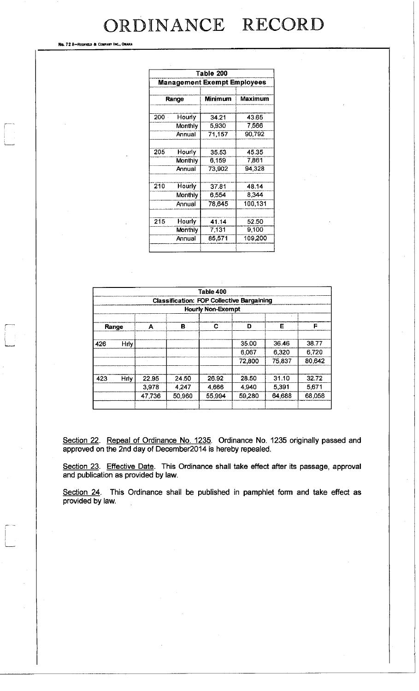No. 72 8-REDFIELD & COMPANY INC., OMAHA

**L—;** 

| Table 200                          |         |         |         |  |  |
|------------------------------------|---------|---------|---------|--|--|
| <b>Management Exempt Employees</b> |         |         |         |  |  |
| Range                              |         | Minimum |         |  |  |
| 200                                | Hourly  | 34.21   | 43.65   |  |  |
|                                    | Monthly | 5,930   | 7,566   |  |  |
|                                    | Annual  | 71,157  | 90,792  |  |  |
|                                    |         |         |         |  |  |
| 205                                | Hourly  | 35.53   | 45.35   |  |  |
|                                    | Monthly | 6,159   | 7,861   |  |  |
|                                    | Annual  | 73,902  | 94,328  |  |  |
|                                    |         |         |         |  |  |
| 210                                | Hourly  | 37.81   | 48.14   |  |  |
|                                    | Monthly | 6,554   | 8,344   |  |  |
|                                    | Annual  | 78,645  | 100,131 |  |  |
|                                    |         |         |         |  |  |
| 215                                | Hourly  | 41.14   | 52.50   |  |  |
|                                    | Monthly | 7,131   | 9,100   |  |  |
|                                    | Annual  | 85,571  | 109,200 |  |  |
|                                    |         |         |         |  |  |

|                          |                                                  |        |        | Table 400 |        |        |        |  |
|--------------------------|--------------------------------------------------|--------|--------|-----------|--------|--------|--------|--|
|                          | <b>Classification: FOP Collective Bargaining</b> |        |        |           |        |        |        |  |
| <b>Hourly Non-Exempt</b> |                                                  |        |        |           |        |        |        |  |
| Range                    |                                                  | A      | в      | С         | D      | F      | Е      |  |
| 426                      | <b>Hrly</b>                                      |        |        |           | 35.00  | 3646   | 38.77  |  |
|                          |                                                  |        |        |           | 6.067  | 6,320  | 6,720  |  |
|                          |                                                  |        |        |           | 72,800 | 75,837 | 80,642 |  |
| 423                      | <b>Hrly</b>                                      | 22.95  | 24.50  | 26.92     | 28.50  | 31.10  | 32.72  |  |
|                          |                                                  | 3,978  | 4.247  | 4666      | 4.940  | 5,391  | 5,671  |  |
|                          |                                                  | 47,736 | 50,960 | 55,994    | 59,280 | 64,688 | 68.058 |  |

Section 22. Repeal of Ordinance No. 1235. Ordinance No. 1235 originally passed and approved on the 2nd day of December2014 is hereby repealed.

Section 23. Effective Date. This Ordinance shall take effect after its passage, approval and publication as provided by law.

Section 24. This Ordinance shall be published in pamphlet form and take effect as provided by law.